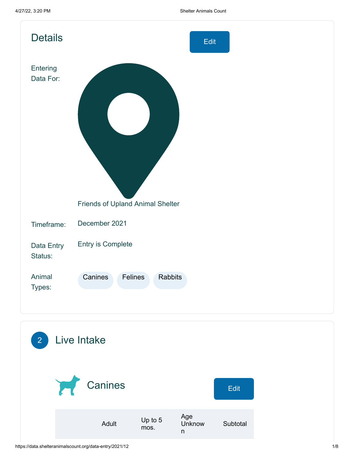| <b>Details</b>        | Edit                                    |
|-----------------------|-----------------------------------------|
| Entering<br>Data For: |                                         |
|                       | <b>Friends of Upland Animal Shelter</b> |
| Timeframe:            | December 2021                           |
| Data Entry<br>Status: | Entry is Complete                       |
| Animal<br>Types:      | Canines<br>Felines<br><b>Rabbits</b>    |
| $\overline{2}$        | Live Intake                             |

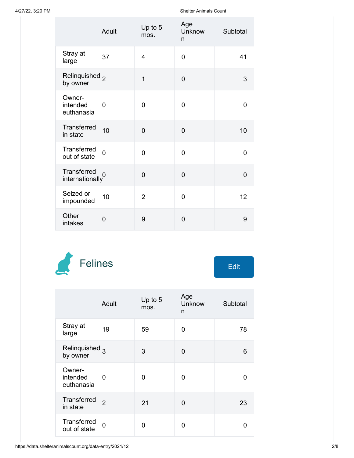|                                                  | Adult       | Up to 5<br>mos. | Age<br>Unknow<br>n | Subtotal       |
|--------------------------------------------------|-------------|-----------------|--------------------|----------------|
| Stray at<br>large                                | 37          | $\overline{4}$  | $\overline{0}$     | 41             |
| Relinquished <sub>2</sub><br>by owner            |             | $\overline{1}$  | $\overline{0}$     | 3              |
| Owner-<br>intended<br>euthanasia                 | 0           | $\overline{0}$  | 0                  | 0              |
| Transferred<br>in state                          | 10          | $\overline{0}$  | $\overline{0}$     | 10             |
| Transferred<br>out of state                      | $\mathbf 0$ | $\overline{0}$  | $\overline{0}$     | 0              |
| Transferred<br>indinationally<br>internationally |             | $\overline{0}$  | $\overline{0}$     | $\overline{0}$ |
| Seized or<br>impounded                           | 10          | $\overline{2}$  | $\overline{0}$     | 12             |
| Other<br>intakes                                 | 0           | 9               | $\overline{0}$     | 9              |



| Edit |  |
|------|--|
|      |  |

|                                       | Adult          | Up to 5<br>mos. | Age<br>Unknow<br>n | Subtotal |
|---------------------------------------|----------------|-----------------|--------------------|----------|
| Stray at<br>large                     | 19             | 59              | 0                  | 78       |
| Relinquished <sub>3</sub><br>by owner |                | 3               | 0                  | 6        |
| Owner-<br>intended<br>euthanasia      | 0              | 0               | O                  | 0        |
| <b>Transferred</b><br>in state        | $\overline{2}$ | 21              | 0                  | 23       |
| Transferred<br>out of state           | $\overline{0}$ | 0               | ი                  | O        |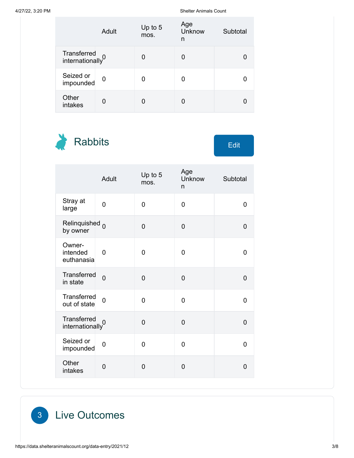|                                             | Adult    | Up to 5<br>mos. | Age<br>Unknow<br>n | Subtotal |
|---------------------------------------------|----------|-----------------|--------------------|----------|
| Transferred<br>internationally <sup>0</sup> |          | O               | 0                  |          |
| Seized or<br>impounded                      | $\Omega$ |                 | 0                  |          |
| Other<br>intakes                            | O        |                 |                    |          |

Rabbits Edit

|                                             | Adult          | Up to 5<br>mos. | Age<br>Unknow<br>n | Subtotal       |
|---------------------------------------------|----------------|-----------------|--------------------|----------------|
| Stray at<br>large                           | $\overline{0}$ | 0               | $\mathbf 0$        | 0              |
| Relinquished <sub>0</sub><br>by owner       |                | 0               | 0                  | 0              |
| Owner-<br>intended<br>euthanasia            | 0              | 0               | 0                  | 0              |
| Transferred<br>in state                     | $\overline{0}$ | $\overline{0}$  | $\overline{0}$     | 0              |
| Transferred<br>out of state                 | 0              | 0               | 0                  | 0              |
| Transferred<br>internationally <sup>0</sup> |                | 0               | $\overline{0}$     | $\overline{0}$ |
| Seized or<br>impounded                      | $\overline{0}$ | 0               | 0                  | $\overline{0}$ |
| Other<br>intakes                            | $\overline{0}$ | 0               | 0                  | 0              |

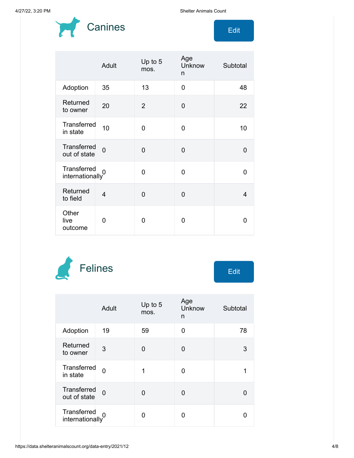

|                                    | Adult          | Up to 5<br>mos. | Age<br>Unknow<br>n | Subtotal |
|------------------------------------|----------------|-----------------|--------------------|----------|
| Adoption                           | 35             | 13              | 0                  | 48       |
| Returned<br>to owner               | 20             | $\overline{2}$  | $\overline{0}$     | 22       |
| Transferred<br>in state            | 10             | 0               | 0                  | 10       |
| <b>Transferred</b><br>out of state | $\overline{0}$ | $\Omega$        | $\overline{0}$     | $\Omega$ |
| Transferred<br>internationaly      |                | 0               | 0                  | 0        |
| Returned<br>to field               | $\overline{4}$ | $\overline{0}$  | $\Omega$           | 4        |
| Other<br>live<br>outcome           | O              | O               | 0                  | n        |



|                                             | Adult    | Up to $5$<br>mos. | Age<br>Unknow<br>n | Subtotal |
|---------------------------------------------|----------|-------------------|--------------------|----------|
| Adoption                                    | 19       | 59                | 0                  | 78       |
| Returned<br>to owner                        | 3        | 0                 | 0                  | 3        |
| <b>Transferred</b><br>in state              | $\Omega$ | 1                 | 0                  |          |
| <b>Transferred</b><br>out of state          | $\Omega$ | O                 | 0                  |          |
| Transferred<br>internationally <sup>0</sup> |          | O                 | ი                  |          |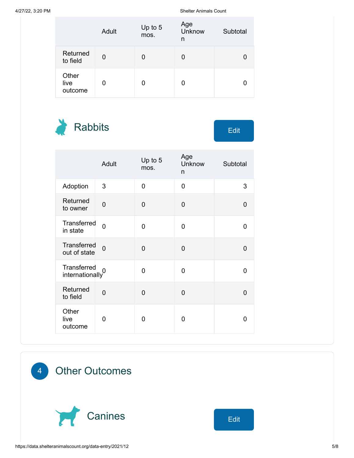|                          | Adult | Up to 5<br>mos. | Age<br>Unknow<br>n | Subtotal |
|--------------------------|-------|-----------------|--------------------|----------|
| Returned<br>to field     | 0     | O               | 0                  |          |
| Other<br>live<br>outcome | 0     | 0               | 0                  |          |

Rabbits Edit

|                                             | Adult          | Up to 5<br>mos. | Age<br>Unknow<br>n | Subtotal |
|---------------------------------------------|----------------|-----------------|--------------------|----------|
| Adoption                                    | 3              | $\overline{0}$  | $\overline{0}$     | 3        |
| Returned<br>to owner                        | $\overline{0}$ | $\mathbf 0$     | 0                  | 0        |
| Transferred<br>in state                     | $\Omega$       | 0               | 0                  | 0        |
| Transferred<br>out of state                 | $\overline{0}$ | $\overline{0}$  | 0                  | 0        |
| Transferred<br>internationally <sup>0</sup> |                | $\Omega$        | 0                  | 0        |
| Returned<br>to field                        | $\overline{0}$ | $\mathbf 0$     | 0                  | 0        |
| Other<br>live<br>outcome                    | 0              | 0               | 0                  | 0        |

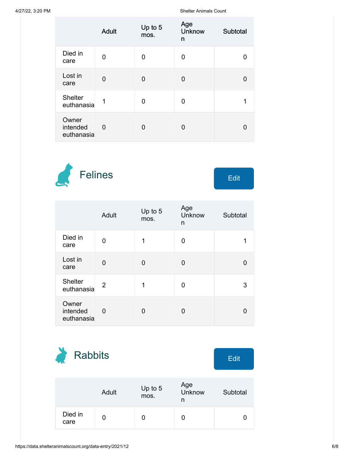|                                 | <b>Adult</b> | Up to 5<br>mos. | Age<br><b>Unknow</b><br>n | Subtotal |
|---------------------------------|--------------|-----------------|---------------------------|----------|
| Died in<br>care                 | 0            | 0               | 0                         |          |
| Lost in<br>care                 | 0            | ∩               | 0                         | O        |
| <b>Shelter</b><br>euthanasia    | 1            | 0               | 0                         | 1        |
| Owner<br>intended<br>euthanasia | 0            | 0               | 0                         |          |



|                                 | Adult          | Up to 5<br>mos. | Age<br>Unknow<br>n | Subtotal |
|---------------------------------|----------------|-----------------|--------------------|----------|
| Died in<br>care                 | 0              | 1               | 0                  |          |
| Lost in<br>care                 | 0              | 0               | 0                  |          |
| <b>Shelter</b><br>euthanasia    | $\overline{2}$ | 1               | 0                  | 3        |
| Owner<br>intended<br>euthanasia | 0              | 0               | 0                  |          |

| <b>Rabbits</b>  |       |                 |                    | <b>Edit</b> |
|-----------------|-------|-----------------|--------------------|-------------|
|                 |       |                 |                    |             |
|                 | Adult | Up to 5<br>mos. | Age<br>Unknow<br>n | Subtotal    |
| Died in<br>care | 0     |                 | 0                  |             |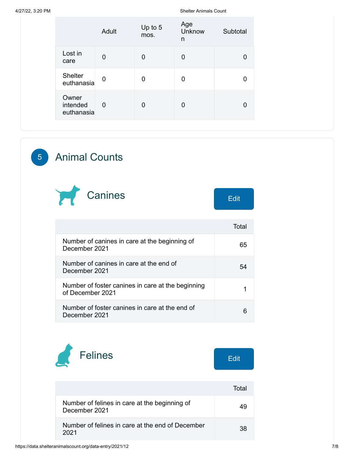|                                 | Adult          | Up to 5<br>mos. | Age<br>Unknow<br>n | Subtotal |
|---------------------------------|----------------|-----------------|--------------------|----------|
| Lost in<br>care                 | $\overline{0}$ | 0               | 0                  |          |
| Shelter<br>euthanasia           | $\mathbf 0$    | 0               | 0                  | 0        |
| Owner<br>intended<br>euthanasia | $\overline{0}$ | 0               | 0                  | 0        |

## 5 Animal Counts



| Edit |  |
|------|--|
|      |  |

|                                                                       | Total |
|-----------------------------------------------------------------------|-------|
| Number of canines in care at the beginning of<br>December 2021        | 65    |
| Number of canines in care at the end of<br>December 2021              | 54    |
| Number of foster canines in care at the beginning<br>of December 2021 |       |
| Number of foster canines in care at the end of<br>December 2021       |       |



|                                                                | Total |
|----------------------------------------------------------------|-------|
| Number of felines in care at the beginning of<br>December 2021 |       |
| Number of felines in care at the end of December<br>2021       | 38    |